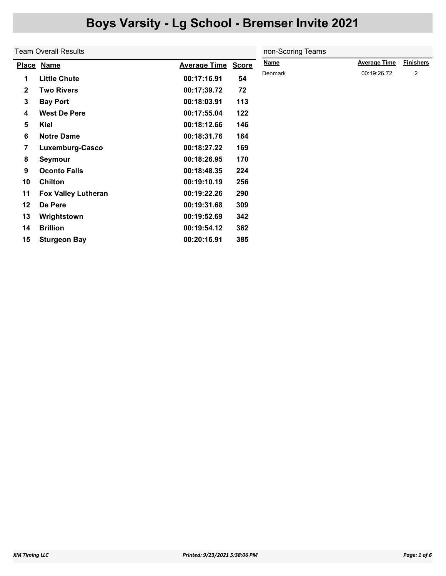|              | Team Overall Results       | non-Scoring Teams   |              |             |                     |                  |
|--------------|----------------------------|---------------------|--------------|-------------|---------------------|------------------|
|              | Place Name                 | <b>Average Time</b> | <b>Score</b> | <b>Name</b> | <b>Average Time</b> | <b>Finishers</b> |
| 1            | <b>Little Chute</b>        | 00:17:16.91         | 54           | Denmark     | 00:19:26.72         | 2                |
| $\mathbf{2}$ | <b>Two Rivers</b>          | 00:17:39.72         | 72           |             |                     |                  |
| 3            | <b>Bay Port</b>            | 00:18:03.91         | 113          |             |                     |                  |
| 4            | <b>West De Pere</b>        | 00:17:55.04         | 122          |             |                     |                  |
| 5            | Kiel                       | 00:18:12.66         | 146          |             |                     |                  |
| 6            | <b>Notre Dame</b>          | 00:18:31.76         | 164          |             |                     |                  |
| 7            | Luxemburg-Casco            | 00:18:27.22         | 169          |             |                     |                  |
| 8            | <b>Seymour</b>             | 00:18:26.95         | 170          |             |                     |                  |
| 9            | <b>Oconto Falls</b>        | 00:18:48.35         | 224          |             |                     |                  |
| 10           | <b>Chilton</b>             | 00:19:10.19         | 256          |             |                     |                  |
| 11           | <b>Fox Valley Lutheran</b> | 00:19:22.26         | 290          |             |                     |                  |
| 12           | De Pere                    | 00:19:31.68         | 309          |             |                     |                  |
| 13           | Wrightstown                | 00:19:52.69         | 342          |             |                     |                  |
| 14           | <b>Brillion</b>            | 00:19:54.12         | 362          |             |                     |                  |
| 15           | <b>Sturgeon Bay</b>        | 00:20:16.91         | 385          |             |                     |                  |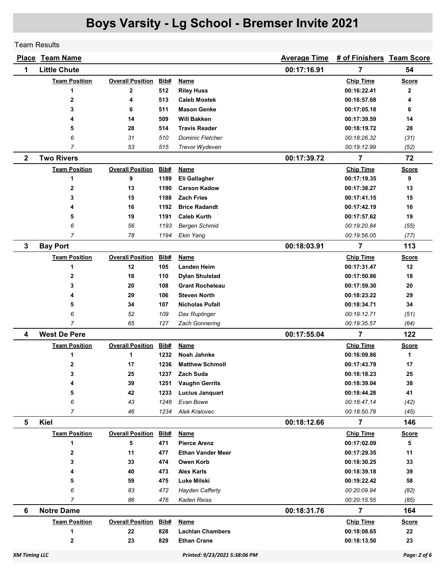Team Results

|                      | <b>Place Team Name</b> |                         |      |                               | <b>Average Time</b> | # of Finishers Team Score |              |
|----------------------|------------------------|-------------------------|------|-------------------------------|---------------------|---------------------------|--------------|
| 1                    | <b>Little Chute</b>    |                         |      |                               | 00:17:16.91         | 7                         | 54           |
|                      | <b>Team Position</b>   | <b>Overall Position</b> | Bib# | Name                          |                     | <b>Chip Time</b>          | <b>Score</b> |
|                      | 1                      | $\mathbf 2$             | 512  | <b>Riley Huss</b>             |                     | 00:16:22.41               | $\mathbf{2}$ |
|                      | 2                      | 4                       | 513  | <b>Caleb Mostek</b>           |                     | 00:16:57.68               | 4            |
|                      | 3                      | 6                       | 511  | <b>Mason Genke</b>            |                     | 00:17:05.18               | 6            |
|                      | 4                      | 14                      | 509  | Will Bakken                   |                     | 00:17:39.59               | 14           |
|                      | 5                      | 28                      | 514  | <b>Travis Reader</b>          |                     | 00:18:19.72               | 28           |
|                      | 6                      | 31                      | 510  | <b>Dominic Fletcher</b>       |                     | 00:18:26.32               | (31)         |
|                      | 7                      | 53                      | 515  | Trevor Wydeven                |                     | 00:19:12.99               | (52)         |
| $\mathbf{2}$         | <b>Two Rivers</b>      |                         |      |                               | 00:17:39.72         | 7                         | 72           |
|                      | <b>Team Position</b>   | <b>Overall Position</b> | Bib# | Name                          |                     | <b>Chip Time</b>          | <b>Score</b> |
|                      | 1                      | 9                       | 1189 | Eli Gallagher                 |                     | 00:17:19.35               | 9            |
|                      | 2                      | 13                      | 1190 | <b>Carson Kadow</b>           |                     | 00:17:38.27               | 13           |
|                      | 3                      | 15                      | 1188 | <b>Zach Fries</b>             |                     | 00:17:41.15               | 15           |
|                      | 4                      | 16                      | 1192 | <b>Brice Radandt</b>          |                     | 00:17:42.19               | 16           |
|                      | 5                      | 19                      | 1191 | <b>Caleb Kurth</b>            |                     | 00:17:57.62               | 19           |
|                      | 6                      | 56                      | 1193 | <b>Bergen Schmid</b>          |                     | 00:19:20.84               | (55)         |
|                      | $\overline{7}$         | 78                      | 1194 | Ekin Yang                     |                     | 00:19:56.05               | (77)         |
| 3                    | <b>Bay Port</b>        |                         |      |                               | 00:18:03.91         | 7                         | 113          |
|                      | <b>Team Position</b>   | <b>Overall Position</b> | Bib# | <b>Name</b>                   |                     | <b>Chip Time</b>          | <b>Score</b> |
|                      | 1                      | 12                      | 105  | <b>Landen Heim</b>            |                     | 00:17:31.47               | 12           |
|                      | 2                      | 18                      | 110  | <b>Dylan Shulstad</b>         |                     | 00:17:50.86               | 18           |
|                      | 3                      | 20                      | 108  | <b>Grant Rocheleau</b>        |                     | 00:17:59.30               | 20           |
|                      | 4                      | 29                      | 106  | <b>Steven North</b>           |                     | 00:18:23.22               | 29           |
|                      | 5                      | 34                      | 107  | <b>Nicholas Pufall</b>        |                     | 00:18:34.71               | 34           |
|                      | 6                      | 52                      | 109  | Dax Ruplinger                 |                     | 00:19:12.71               | (51)         |
|                      | 7                      | 65                      | 127  | <b>Zach Gonnering</b>         |                     | 00:19:35.57               | (64)         |
| 4                    | <b>West De Pere</b>    |                         |      |                               | 00:17:55.04         | 7                         | 122          |
|                      | <b>Team Position</b>   | <b>Overall Position</b> | Bib# | <b>Name</b>                   |                     | <b>Chip Time</b>          | <b>Score</b> |
|                      | 1                      | 1                       | 1232 | Noah Jahnke                   |                     | 00:16:09.86               | 1            |
|                      | 2                      | 17                      | 1236 | <b>Matthew Schmoll</b>        |                     | 00:17:43.79               | 17           |
|                      | 3                      | 25                      | 1237 | <b>Zach Suda</b>              |                     | 00:18:18.23               | 25           |
|                      | 4                      | 39                      | 1251 | <b>Vaughn Gerrits</b>         |                     | 00:18:39.04               | 38           |
|                      | 5                      | 42                      | 1233 | <b>Lucius Janquart</b>        |                     | 00:18:44.28               | 41           |
|                      | 6                      | 43                      | 1246 | Evan Bowe                     |                     | 00:18:47.14               | (42)         |
|                      | $\overline{7}$         | 46                      | 1234 | Alek Kralovec                 |                     | 00:18:50.78               | (45)         |
| 5                    | Kiel                   |                         |      |                               | 00:18:12.66         | $\overline{\mathbf{7}}$   | 146          |
|                      | <b>Team Position</b>   | <b>Overall Position</b> | Bib# | <b>Name</b>                   |                     | <b>Chip Time</b>          | <b>Score</b> |
|                      | 1                      | 5                       | 471  | <b>Pierce Arenz</b>           |                     | 00:17:02.09               | 5            |
|                      | 2                      | 11                      | 477  | <b>Ethan Vander Meer</b>      |                     | 00:17:29.35               | 11           |
|                      | 3                      | 33                      | 474  | Owen Korb                     |                     | 00:18:30.25               | 33           |
|                      | 4                      | 40                      | 473  | <b>Alex Karls</b>             |                     | 00:18:39.18               | 39           |
|                      | 5                      | 59                      | 475  | Luke Milski                   |                     | 00:19:22.42               | 58           |
|                      | 6                      | 83                      | 472  | <b>Hayden Cafferty</b>        |                     | 00:20:09.94               | (82)         |
|                      | $\overline{7}$         | 86                      | 476  | Kaden Reiss                   |                     | 00:20:15.55               | (85)         |
| 6                    | <b>Notre Dame</b>      |                         |      |                               | 00:18:31.76         | 7                         | 164          |
|                      | <b>Team Position</b>   | <b>Overall Position</b> | Bib# | Name                          |                     | <b>Chip Time</b>          | <b>Score</b> |
|                      | 1                      | 22                      | 828  | <b>Lachlan Chambers</b>       |                     | 00:18:08.65               | 22           |
|                      | 2                      | 23                      | 829  | <b>Ethan Crane</b>            |                     | 00:18:13.50               | 23           |
| <b>XM Timing LLC</b> |                        |                         |      | Printed: 9/23/2021 5:38:06 PM |                     |                           | Page: 2 of 6 |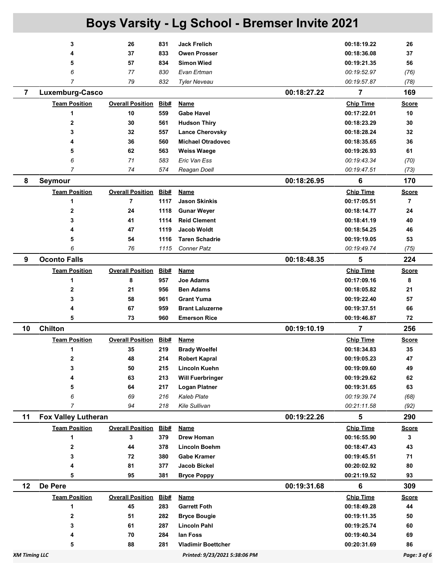|                      | 3                          | 26                      | 831  | <b>Jack Frelich</b>           |             | 00:18:19.22             | 26             |
|----------------------|----------------------------|-------------------------|------|-------------------------------|-------------|-------------------------|----------------|
|                      | 4                          | 37                      | 833  | <b>Owen Prosser</b>           |             | 00:18:36.08             | 37             |
|                      | 5                          | 57                      | 834  | <b>Simon Wied</b>             |             | 00:19:21.35             | 56             |
|                      | 6                          | 77                      | 830  | Evan Ertman                   |             | 00:19:52.97             | (76)           |
|                      | 7                          | 79                      | 832  | <b>Tyler Neveau</b>           |             | 00:19:57.87             | (78)           |
| $\overline{7}$       | Luxemburg-Casco            |                         |      |                               | 00:18:27.22 | $\overline{7}$          | 169            |
|                      | <b>Team Position</b>       | <b>Overall Position</b> | Bib# | <b>Name</b>                   |             | <b>Chip Time</b>        | <b>Score</b>   |
|                      | 1                          | 10                      | 559  | <b>Gabe Havel</b>             |             | 00:17:22.01             | 10             |
|                      | $\mathbf{2}$               | 30                      | 561  | <b>Hudson Thiry</b>           |             | 00:18:23.29             | 30             |
|                      | 3                          | 32                      | 557  | <b>Lance Cherovsky</b>        |             | 00:18:28.24             | 32             |
|                      | 4                          | 36                      | 560  | <b>Michael Otradovec</b>      |             | 00:18:35.65             | 36             |
|                      | 5                          | 62                      | 563  | Weiss Waege                   |             | 00:19:26.93             | 61             |
|                      | 6                          | 71                      | 583  | Eric Van Ess                  |             | 00:19:43.34             | (70)           |
|                      | 7                          | 74                      | 574  | Reagan Doell                  |             | 00:19:47.51             | (73)           |
| 8                    | Seymour                    |                         |      |                               | 00:18:26.95 | 6                       | 170            |
|                      | <b>Team Position</b>       | <b>Overall Position</b> | Bib# | <b>Name</b>                   |             | <b>Chip Time</b>        | <u>Score</u>   |
|                      | 1                          | 7                       | 1117 | <b>Jason Skinkis</b>          |             | 00:17:05.51             | $\overline{7}$ |
|                      | $\mathbf{2}$               | 24                      | 1118 | <b>Gunar Weyer</b>            |             | 00:18:14.77             | 24             |
|                      | 3                          | 41                      | 1114 | <b>Reid Clement</b>           |             | 00:18:41.19             | 40             |
|                      | 4                          | 47                      | 1119 | <b>Jacob Woldt</b>            |             | 00:18:54.25             | 46             |
|                      | 5                          | 54                      | 1116 | <b>Taren Schadrie</b>         |             | 00:19:19.05             | 53             |
|                      | 6                          | 76                      | 1115 | <b>Conner Patz</b>            |             | 00:19:49.74             | (75)           |
| 9                    | <b>Oconto Falls</b>        |                         |      |                               | 00:18:48.35 | 5                       | 224            |
|                      | <b>Team Position</b>       | <b>Overall Position</b> | Bib# | <b>Name</b>                   |             | <b>Chip Time</b>        | <b>Score</b>   |
|                      | 1                          | 8                       | 957  | <b>Joe Adams</b>              |             | 00:17:09.16             | 8              |
|                      | 2                          | 21                      | 956  | <b>Ben Adams</b>              |             | 00:18:05.82             | 21             |
|                      | 3                          | 58                      | 961  | <b>Grant Yuma</b>             |             | 00:19:22.40             | 57             |
|                      | 4                          | 67                      | 959  | <b>Brant Laluzerne</b>        |             | 00:19:37.51             | 66             |
|                      | 5                          | 73                      | 960  | <b>Emerson Rice</b>           |             | 00:19:46.87             | 72             |
| 10                   | Chilton                    |                         |      |                               | 00:19:10.19 | $\overline{\mathbf{r}}$ | 256            |
|                      | <b>Team Position</b>       | <b>Overall Position</b> | Bib# | <b>Name</b>                   |             | <b>Chip Time</b>        | <b>Score</b>   |
|                      | 1                          | 35                      | 219  | <b>Brady Woelfel</b>          |             | 00:18:34.83             | 35             |
|                      | 2                          | 48                      | 214  | <b>Robert Kapral</b>          |             | 00:19:05.23             | 47             |
|                      | 3                          | 50                      | 215  | Lincoln Kuehn                 |             | 00:19:09.60             | 49             |
|                      |                            | 63                      | 213  | <b>Will Fuerbringer</b>       |             | 00:19:29.62             | 62             |
|                      | 5                          | 64                      | 217  | <b>Logan Platner</b>          |             | 00:19:31.65             | 63             |
|                      | 6                          | 69                      | 216  | <b>Kaleb Plate</b>            |             | 00:19:39.74             | (68)           |
|                      | 7                          | 94                      | 218  | Kile Sullivan                 |             | 00:21:11.58             | (92)           |
| 11                   | <b>Fox Valley Lutheran</b> |                         |      |                               | 00:19:22.26 | 5                       | 290            |
|                      | <b>Team Position</b>       | <b>Overall Position</b> | Bib# | Name                          |             | <b>Chip Time</b>        | <b>Score</b>   |
|                      | 1                          | 3                       | 379  | Drew Homan                    |             | 00:16:55.90             | 3              |
|                      | 2                          | 44                      | 378  | <b>Lincoln Boehm</b>          |             | 00:18:47.43             | 43             |
|                      | 3                          | 72                      | 380  | <b>Gabe Kramer</b>            |             | 00:19:45.51             | 71             |
|                      | 4                          | 81                      | 377  | Jacob Bickel                  |             | 00:20:02.92             | 80             |
|                      | 5                          | 95                      | 381  | <b>Bryce Poppy</b>            |             | 00:21:19.52             | 93             |
| 12                   | De Pere                    |                         |      |                               | 00:19:31.68 | 6                       | 309            |
|                      | <b>Team Position</b>       | <b>Overall Position</b> | Bib# | <b>Name</b>                   |             | <b>Chip Time</b>        | <b>Score</b>   |
|                      | 1                          | 45                      | 283  | <b>Garrett Foth</b>           |             | 00:18:49.28             | 44             |
|                      | 2                          | 51                      | 282  | <b>Bryce Bougie</b>           |             | 00:19:11.35             | 50             |
|                      | 3                          | 61                      | 287  | <b>Lincoln Pahl</b>           |             | 00:19:25.74             | 60             |
|                      |                            | 70                      | 284  | lan Foss                      |             | 00:19:40.34             | 69             |
|                      | 5                          | 88                      | 281  | <b>Vladimir Boettcher</b>     |             | 00:20:31.69             | 86             |
| <b>XM Timing LLC</b> |                            |                         |      | Printed: 9/23/2021 5:38:06 PM |             |                         | Page: 3 of 6   |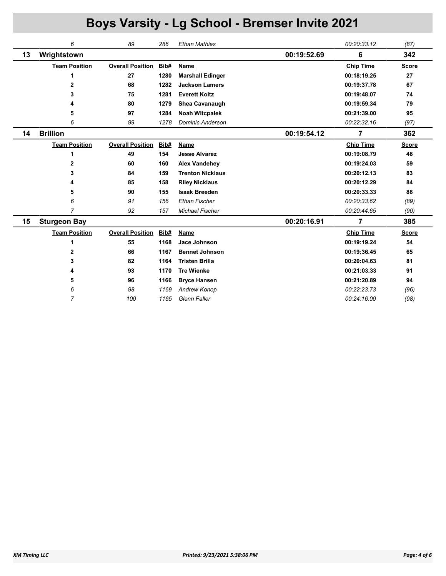|    | 6                    | 89                      | 286  | <b>Ethan Mathies</b>    |             | 00:20:33.12      | (87)         |
|----|----------------------|-------------------------|------|-------------------------|-------------|------------------|--------------|
| 13 | Wrightstown          |                         |      |                         | 00:19:52.69 | 6                | 342          |
|    | <b>Team Position</b> | <b>Overall Position</b> | Bib# | Name                    |             | <b>Chip Time</b> | <b>Score</b> |
|    | 1                    | 27                      | 1280 | <b>Marshall Edinger</b> |             | 00:18:19.25      | 27           |
|    | $\mathbf{2}$         | 68                      | 1282 | <b>Jackson Lamers</b>   |             | 00:19:37.78      | 67           |
|    | 3                    | 75                      | 1281 | <b>Everett Koltz</b>    |             | 00:19:48.07      | 74           |
|    | 4                    | 80                      | 1279 | Shea Cavanaugh          |             | 00:19:59.34      | 79           |
|    | 5                    | 97                      | 1284 | <b>Noah Witcpalek</b>   |             | 00:21:39.00      | 95           |
|    | 6                    | 99                      | 1278 | <b>Dominic Anderson</b> |             | 00:22:32.16      | (97)         |
| 14 | <b>Brillion</b>      |                         |      |                         | 00:19:54.12 | 7                | 362          |
|    | <b>Team Position</b> | <b>Overall Position</b> | Bib# | <b>Name</b>             |             | <b>Chip Time</b> | <b>Score</b> |
|    | 1                    | 49                      | 154  | <b>Jesse Alvarez</b>    |             | 00:19:08.79      | 48           |
|    | $\mathbf{2}$         | 60                      | 160  | <b>Alex Vandehey</b>    |             | 00:19:24.03      | 59           |
|    | 3                    | 84                      | 159  | <b>Trenton Nicklaus</b> |             | 00:20:12.13      | 83           |
|    | 4                    | 85                      | 158  | <b>Riley Nicklaus</b>   |             | 00:20:12.29      | 84           |
|    | 5                    | 90                      | 155  | <b>Isaak Breeden</b>    |             | 00:20:33.33      | 88           |
|    | 6                    | 91                      | 156  | <b>Ethan Fischer</b>    |             | 00:20:33.62      | (89)         |
|    | $\overline{7}$       | 92                      | 157  | <b>Michael Fischer</b>  |             | 00:20:44.65      | (90)         |
| 15 | <b>Sturgeon Bay</b>  |                         |      |                         | 00:20:16.91 | 7                | 385          |
|    | <b>Team Position</b> | <b>Overall Position</b> | Bib# | Name                    |             | <b>Chip Time</b> | <b>Score</b> |
|    | 1                    | 55                      | 1168 | Jace Johnson            |             | 00:19:19.24      | 54           |
|    | 2                    | 66                      | 1167 | <b>Bennet Johnson</b>   |             | 00:19:36.45      | 65           |
|    | 3                    | 82                      | 1164 | <b>Tristen Brilla</b>   |             | 00:20:04.63      | 81           |
|    | 4                    | 93                      | 1170 | <b>Tre Wienke</b>       |             | 00:21:03.33      | 91           |
|    | 5                    | 96                      | 1166 | <b>Bryce Hansen</b>     |             | 00:21:20.89      | 94           |
|    | 6                    | 98                      | 1169 | Andrew Konop            |             | 00:22:23.73      | (96)         |
|    | $\overline{7}$       | 100                     | 1165 | <b>Glenn Faller</b>     |             | 00:24:16.00      | (98)         |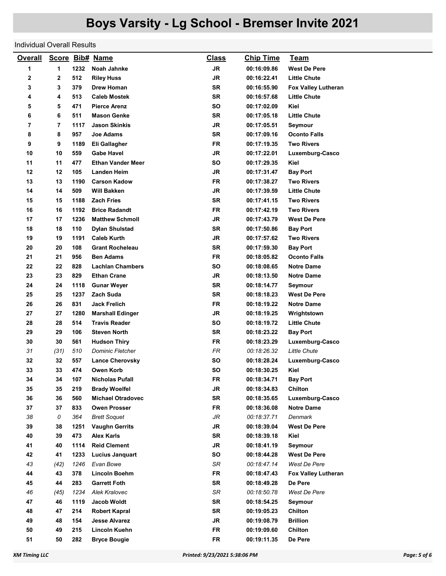#### Individual Overall Results

| <b>Overall</b> |      |      | Score Bib# Name          | <b>Class</b> | <b>Chip Time</b> | <u>Team</u>                |
|----------------|------|------|--------------------------|--------------|------------------|----------------------------|
| 1              | 1    | 1232 | Noah Jahnke              | JR.          | 00:16:09.86      | <b>West De Pere</b>        |
| 2              | 2    | 512  | <b>Riley Huss</b>        | JR           | 00:16:22.41      | <b>Little Chute</b>        |
| 3              | 3    | 379  | Drew Homan               | <b>SR</b>    | 00:16:55.90      | <b>Fox Valley Lutheran</b> |
| 4              | 4    | 513  | <b>Caleb Mostek</b>      | SR           | 00:16:57.68      | <b>Little Chute</b>        |
| 5              | 5    | 471  | <b>Pierce Arenz</b>      | SO           | 00:17:02.09      | Kiel                       |
| 6              | 6    | 511  | <b>Mason Genke</b>       | <b>SR</b>    | 00:17:05.18      | <b>Little Chute</b>        |
| 7              | 7    | 1117 | <b>Jason Skinkis</b>     | <b>JR</b>    | 00:17:05.51      | Seymour                    |
| 8              | 8    | 957  | Joe Adams                | <b>SR</b>    | 00:17:09.16      | <b>Oconto Falls</b>        |
| 9              | 9    | 1189 | Eli Gallagher            | <b>FR</b>    | 00:17:19.35      | <b>Two Rivers</b>          |
| 10             | 10   | 559  | <b>Gabe Havel</b>        | JR           | 00:17:22.01      | Luxemburg-Casco            |
| 11             | 11   | 477  | <b>Ethan Vander Meer</b> | SO           | 00:17:29.35      | Kiel                       |
| 12             | 12   | 105  | Landen Heim              | JR           | 00:17:31.47      | <b>Bay Port</b>            |
| 13             | 13   | 1190 | <b>Carson Kadow</b>      | <b>FR</b>    | 00:17:38.27      | Two Rivers                 |
| 14             | 14   | 509  | Will Bakken              | JR           | 00:17:39.59      | <b>Little Chute</b>        |
| 15             | 15   | 1188 | <b>Zach Fries</b>        | <b>SR</b>    | 00:17:41.15      | <b>Two Rivers</b>          |
| 16             | 16   | 1192 | <b>Brice Radandt</b>     | FR           | 00:17:42.19      | <b>Two Rivers</b>          |
| 17             | 17   | 1236 | <b>Matthew Schmoll</b>   | JR           | 00:17:43.79      | <b>West De Pere</b>        |
| 18             | 18   | 110  | <b>Dylan Shulstad</b>    | SR           | 00:17:50.86      | <b>Bay Port</b>            |
| 19             | 19   | 1191 | <b>Caleb Kurth</b>       | JR           | 00:17:57.62      | <b>Two Rivers</b>          |
| 20             | 20   | 108  | <b>Grant Rocheleau</b>   | SR           | 00:17:59.30      | <b>Bay Port</b>            |
| 21             | 21   | 956  | <b>Ben Adams</b>         | FR           | 00:18:05.82      | <b>Oconto Falls</b>        |
| 22             | 22   | 828  | <b>Lachlan Chambers</b>  | <b>SO</b>    | 00:18:08.65      | <b>Notre Dame</b>          |
| 23             | 23   | 829  | <b>Ethan Crane</b>       | JR           | 00:18:13.50      | <b>Notre Dame</b>          |
| 24             | 24   | 1118 | <b>Gunar Weyer</b>       | SR           | 00:18:14.77      | Seymour                    |
| 25             | 25   | 1237 | Zach Suda                | SR           | 00:18:18.23      | <b>West De Pere</b>        |
| 26             | 26   | 831  | <b>Jack Frelich</b>      | FR           | 00:18:19.22      | <b>Notre Dame</b>          |
| 27             | 27   | 1280 | <b>Marshall Edinger</b>  | JR           | 00:18:19.25      | Wrightstown                |
| 28             | 28   | 514  | <b>Travis Reader</b>     | <b>SO</b>    | 00:18:19.72      | <b>Little Chute</b>        |
| 29             | 29   | 106  | <b>Steven North</b>      | <b>SR</b>    | 00:18:23.22      | <b>Bay Port</b>            |
| 30             | 30   | 561  | <b>Hudson Thiry</b>      | FR           | 00:18:23.29      | Luxemburg-Casco            |
| 31             | (31) | 510  | <b>Dominic Fletcher</b>  | FR           | 00:18:26.32      | <b>Little Chute</b>        |
| 32             | 32   | 557  | <b>Lance Cherovsky</b>   | <b>SO</b>    | 00:18:28.24      | Luxemburg-Casco            |
| 33             | 33   | 474  | Owen Korb                | SO           | 00:18:30.25      | Kiel                       |
| 34             | 34   | 107  | <b>Nicholas Pufall</b>   | FR           | 00:18:34.71      | <b>Bay Port</b>            |
| 35             | 35   | 219  | <b>Brady Woelfel</b>     | JR           | 00:18:34.83      | Chilton                    |
| 36             | 36   | 560  | <b>Michael Otradovec</b> | SR           | 00:18:35.65      | Luxemburg-Casco            |
| 37             | 37   | 833  | <b>Owen Prosser</b>      | FR           | 00:18:36.08      | <b>Notre Dame</b>          |
| 38             | 0    | 364  | <b>Brett Soquet</b>      | JR           | 00:18:37.71      | Denmark                    |
| 39             | 38   | 1251 | <b>Vaughn Gerrits</b>    | JR           | 00:18:39.04      | <b>West De Pere</b>        |
| 40             | 39   | 473  | <b>Alex Karls</b>        | <b>SR</b>    | 00:18:39.18      | Kiel                       |
| 41             | 40   | 1114 | <b>Reid Clement</b>      | JR           | 00:18:41.19      | Seymour                    |
| 42             | 41   | 1233 | Lucius Janquart          | SO           | 00:18:44.28      | <b>West De Pere</b>        |
| 43             | (42) | 1246 | Evan Bowe                | SR           | 00:18:47.14      | West De Pere               |
| 44             | 43   | 378  | <b>Lincoln Boehm</b>     | <b>FR</b>    | 00:18:47.43      | <b>Fox Valley Lutheran</b> |
| 45             | 44   | 283  | <b>Garrett Foth</b>      | SR           | 00:18:49.28      | De Pere                    |
| 46             | (45) | 1234 | Alek Kralovec            | SR           | 00:18:50.78      | West De Pere               |
| 47             | 46   | 1119 | Jacob Woldt              | SR           | 00:18:54.25      | Seymour                    |
| 48             | 47   | 214  | <b>Robert Kapral</b>     | SR           | 00:19:05.23      | Chilton                    |
| 49             | 48   | 154  | <b>Jesse Alvarez</b>     | JR           | 00:19:08.79      | <b>Brillion</b>            |
| 50             | 49   | 215  | Lincoln Kuehn            | FR           | 00:19:09.60      | Chilton                    |
| 51             | 50   | 282  | <b>Bryce Bougie</b>      | <b>FR</b>    | 00:19:11.35      | De Pere                    |